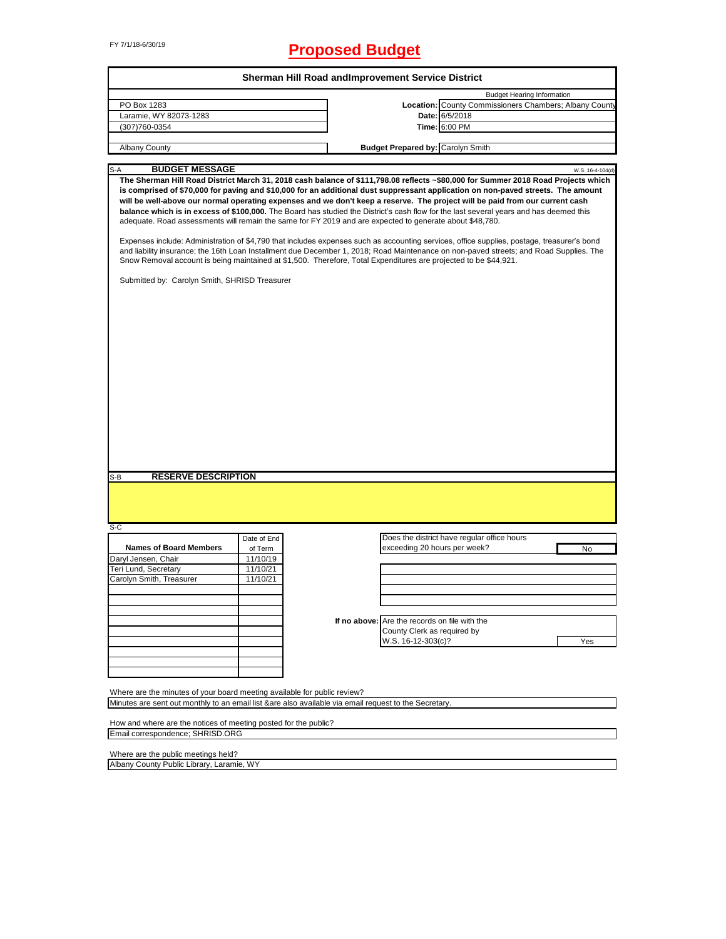# FY 7/1/18-6/30/19 **Proposed Budget**

| <b>Budget Hearing Information</b><br>Location: County Commissioners Chambers; Albany County<br>Date: 6/5/2018<br>Time: 6:00 PM<br>(307) 760-0354<br>Albany County<br><b>Budget Prepared by: Carolyn Smith</b><br><b>BUDGET MESSAGE</b><br>S-A<br>The Sherman Hill Road District March 31, 2018 cash balance of \$111,798.08 reflects ~\$80,000 for Summer 2018 Road Projects which<br>is comprised of \$70,000 for paving and \$10,000 for an additional dust suppressant application on non-paved streets. The amount<br>will be well-above our normal operating expenses and we don't keep a reserve. The project will be paid from our current cash<br>balance which is in excess of \$100,000. The Board has studied the District's cash flow for the last several years and has deemed this<br>adequate. Road assessments will remain the same for FY 2019 and are expected to generate about \$48,780.<br>Expenses include: Administration of \$4,790 that includes expenses such as accounting services, office supplies, postage, treasurer's bond<br>and liability insurance; the 16th Loan Installment due December 1, 2018; Road Maintenance on non-paved streets; and Road Supplies. The<br>Snow Removal account is being maintained at \$1,500. Therefore, Total Expenditures are projected to be \$44,921.<br>Submitted by: Carolyn Smith, SHRISD Treasurer<br><b>RESERVE DESCRIPTION</b><br>S-B<br>Does the district have regular office hours<br>Date of End<br><b>Names of Board Members</b><br>exceeding 20 hours per week?<br>No<br>of Term<br>11/10/19<br>11/10/21<br>Carolyn Smith, Treasurer<br>11/10/21<br>If no above: Are the records on file with the<br>County Clerk as required by<br>W.S. 16-12-303(c)?<br>Yes<br>Where are the minutes of your board meeting available for public review?<br>Minutes are sent out monthly to an email list &are also available via email request to the Secretary. | How and where are the notices of meeting posted for the public? |                                                      | Sherman Hill Road and Improvement Service District |  |                  |
|----------------------------------------------------------------------------------------------------------------------------------------------------------------------------------------------------------------------------------------------------------------------------------------------------------------------------------------------------------------------------------------------------------------------------------------------------------------------------------------------------------------------------------------------------------------------------------------------------------------------------------------------------------------------------------------------------------------------------------------------------------------------------------------------------------------------------------------------------------------------------------------------------------------------------------------------------------------------------------------------------------------------------------------------------------------------------------------------------------------------------------------------------------------------------------------------------------------------------------------------------------------------------------------------------------------------------------------------------------------------------------------------------------------------------------------------------------------------------------------------------------------------------------------------------------------------------------------------------------------------------------------------------------------------------------------------------------------------------------------------------------------------------------------------------------------------------------------------------------------------------------------------------------------------------------|-----------------------------------------------------------------|------------------------------------------------------|----------------------------------------------------|--|------------------|
|                                                                                                                                                                                                                                                                                                                                                                                                                                                                                                                                                                                                                                                                                                                                                                                                                                                                                                                                                                                                                                                                                                                                                                                                                                                                                                                                                                                                                                                                                                                                                                                                                                                                                                                                                                                                                                                                                                                                  |                                                                 |                                                      |                                                    |  |                  |
|                                                                                                                                                                                                                                                                                                                                                                                                                                                                                                                                                                                                                                                                                                                                                                                                                                                                                                                                                                                                                                                                                                                                                                                                                                                                                                                                                                                                                                                                                                                                                                                                                                                                                                                                                                                                                                                                                                                                  |                                                                 | PO Box 1283                                          |                                                    |  |                  |
|                                                                                                                                                                                                                                                                                                                                                                                                                                                                                                                                                                                                                                                                                                                                                                                                                                                                                                                                                                                                                                                                                                                                                                                                                                                                                                                                                                                                                                                                                                                                                                                                                                                                                                                                                                                                                                                                                                                                  |                                                                 | Laramie, WY 82073-1283                               |                                                    |  |                  |
|                                                                                                                                                                                                                                                                                                                                                                                                                                                                                                                                                                                                                                                                                                                                                                                                                                                                                                                                                                                                                                                                                                                                                                                                                                                                                                                                                                                                                                                                                                                                                                                                                                                                                                                                                                                                                                                                                                                                  |                                                                 |                                                      |                                                    |  |                  |
|                                                                                                                                                                                                                                                                                                                                                                                                                                                                                                                                                                                                                                                                                                                                                                                                                                                                                                                                                                                                                                                                                                                                                                                                                                                                                                                                                                                                                                                                                                                                                                                                                                                                                                                                                                                                                                                                                                                                  |                                                                 |                                                      |                                                    |  |                  |
|                                                                                                                                                                                                                                                                                                                                                                                                                                                                                                                                                                                                                                                                                                                                                                                                                                                                                                                                                                                                                                                                                                                                                                                                                                                                                                                                                                                                                                                                                                                                                                                                                                                                                                                                                                                                                                                                                                                                  |                                                                 |                                                      |                                                    |  |                  |
|                                                                                                                                                                                                                                                                                                                                                                                                                                                                                                                                                                                                                                                                                                                                                                                                                                                                                                                                                                                                                                                                                                                                                                                                                                                                                                                                                                                                                                                                                                                                                                                                                                                                                                                                                                                                                                                                                                                                  |                                                                 |                                                      |                                                    |  |                  |
|                                                                                                                                                                                                                                                                                                                                                                                                                                                                                                                                                                                                                                                                                                                                                                                                                                                                                                                                                                                                                                                                                                                                                                                                                                                                                                                                                                                                                                                                                                                                                                                                                                                                                                                                                                                                                                                                                                                                  |                                                                 |                                                      |                                                    |  | W.S. 16-4-104(d) |
|                                                                                                                                                                                                                                                                                                                                                                                                                                                                                                                                                                                                                                                                                                                                                                                                                                                                                                                                                                                                                                                                                                                                                                                                                                                                                                                                                                                                                                                                                                                                                                                                                                                                                                                                                                                                                                                                                                                                  |                                                                 |                                                      |                                                    |  |                  |
|                                                                                                                                                                                                                                                                                                                                                                                                                                                                                                                                                                                                                                                                                                                                                                                                                                                                                                                                                                                                                                                                                                                                                                                                                                                                                                                                                                                                                                                                                                                                                                                                                                                                                                                                                                                                                                                                                                                                  |                                                                 |                                                      |                                                    |  |                  |
|                                                                                                                                                                                                                                                                                                                                                                                                                                                                                                                                                                                                                                                                                                                                                                                                                                                                                                                                                                                                                                                                                                                                                                                                                                                                                                                                                                                                                                                                                                                                                                                                                                                                                                                                                                                                                                                                                                                                  |                                                                 |                                                      |                                                    |  |                  |
|                                                                                                                                                                                                                                                                                                                                                                                                                                                                                                                                                                                                                                                                                                                                                                                                                                                                                                                                                                                                                                                                                                                                                                                                                                                                                                                                                                                                                                                                                                                                                                                                                                                                                                                                                                                                                                                                                                                                  |                                                                 | $S-C$<br>Daryl Jensen, Chair<br>Teri Lund, Secretary |                                                    |  |                  |
|                                                                                                                                                                                                                                                                                                                                                                                                                                                                                                                                                                                                                                                                                                                                                                                                                                                                                                                                                                                                                                                                                                                                                                                                                                                                                                                                                                                                                                                                                                                                                                                                                                                                                                                                                                                                                                                                                                                                  |                                                                 |                                                      |                                                    |  |                  |
|                                                                                                                                                                                                                                                                                                                                                                                                                                                                                                                                                                                                                                                                                                                                                                                                                                                                                                                                                                                                                                                                                                                                                                                                                                                                                                                                                                                                                                                                                                                                                                                                                                                                                                                                                                                                                                                                                                                                  |                                                                 |                                                      |                                                    |  |                  |
|                                                                                                                                                                                                                                                                                                                                                                                                                                                                                                                                                                                                                                                                                                                                                                                                                                                                                                                                                                                                                                                                                                                                                                                                                                                                                                                                                                                                                                                                                                                                                                                                                                                                                                                                                                                                                                                                                                                                  |                                                                 |                                                      |                                                    |  |                  |

Where are the public meetings held?

Albany County Public Library, Laramie, WY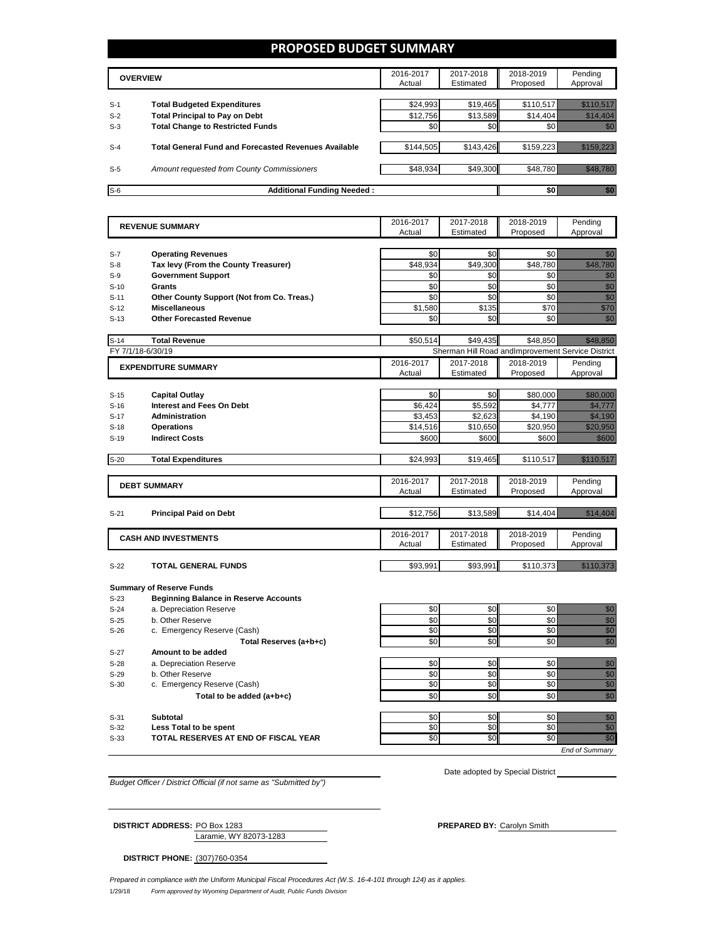### **PROPOSED BUDGET SUMMARY**

|       | <b>OVERVIEW</b>                                             | 2016-2017<br>Actual | 2017-2018<br>Estimated | 2018-2019<br>Proposed | Pending<br>Approval |
|-------|-------------------------------------------------------------|---------------------|------------------------|-----------------------|---------------------|
| $S-1$ | <b>Total Budgeted Expenditures</b>                          | \$24,993            | \$19,465               | \$110,517             |                     |
| $S-2$ | <b>Total Principal to Pay on Debt</b>                       | \$12,756            | \$13,589               | \$14.404              |                     |
| $S-3$ | <b>Total Change to Restricted Funds</b>                     | \$0                 | \$0                    |                       |                     |
|       |                                                             |                     |                        |                       |                     |
| $S-4$ | <b>Total General Fund and Forecasted Revenues Available</b> | \$144,505           | \$143,426              | \$159.223             |                     |
|       |                                                             |                     |                        |                       |                     |
| $S-5$ | Amount requested from County Commissioners                  | \$48,934            | \$49,300               | \$48.780              |                     |
|       |                                                             |                     |                        |                       |                     |
| $S-6$ | <b>Additional Funding Needed:</b>                           |                     |                        |                       |                     |

|        | <b>REVENUE SUMMARY</b>                       |           | 2017-2018         | 2018-2019                                         | Pending                                                                                                                                                                                                                                                                                                                                                                                                                                                             |
|--------|----------------------------------------------|-----------|-------------------|---------------------------------------------------|---------------------------------------------------------------------------------------------------------------------------------------------------------------------------------------------------------------------------------------------------------------------------------------------------------------------------------------------------------------------------------------------------------------------------------------------------------------------|
|        |                                              | Actual    | Estimated         | Proposed                                          | Approval                                                                                                                                                                                                                                                                                                                                                                                                                                                            |
|        |                                              |           |                   |                                                   |                                                                                                                                                                                                                                                                                                                                                                                                                                                                     |
| $S-7$  | <b>Operating Revenues</b>                    | \$0       | \$0               | \$0                                               | e de la filosofia<br>Altre de la filosofia                                                                                                                                                                                                                                                                                                                                                                                                                          |
| $S-8$  | Tax levy (From the County Treasurer)         | \$48,934  | \$49,300          | \$48,780                                          | <u> Mariji (</u>                                                                                                                                                                                                                                                                                                                                                                                                                                                    |
| $S-9$  | <b>Government Support</b>                    | \$0       | \$0               | \$0                                               | en de la familie de la familie de la familie de la familie de la familie de la familie de la familie de la fam<br>Espainia                                                                                                                                                                                                                                                                                                                                          |
| $S-10$ | <b>Grants</b>                                | \$0       | \$0               | \$0                                               | en de la familie de la familie de la familie de la familie de la familie de la familie de la familie de la fam<br>Constitution de la familie de la familie de la familie de la familie de la familie de la familie de la familie                                                                                                                                                                                                                                    |
| $S-11$ | Other County Support (Not from Co. Treas.)   | \$0       | \$0               | \$0                                               | en de la familie de la familie de la familie de la familie de la familie de la familie de la familie de la fam<br>Constituit de la familie de la familie de la familie de la familie de la familie de la familie de la familie d<br>en en de familien de familien de familien de familien de familien de familien de familien de familien de famil<br>Eksterne de familien de familien de familien de familien de familien de familien de familien de familien de f |
| $S-12$ | <b>Miscellaneous</b>                         | \$1,580   | \$135             | \$70                                              |                                                                                                                                                                                                                                                                                                                                                                                                                                                                     |
| $S-13$ | <b>Other Forecasted Revenue</b>              | \$0       | \$0               | \$0                                               | en de la filosofia<br>Albania                                                                                                                                                                                                                                                                                                                                                                                                                                       |
| $S-14$ | <b>Total Revenue</b>                         | \$50.514  | \$49.435          | \$48.850                                          | <u> Timologia (</u>                                                                                                                                                                                                                                                                                                                                                                                                                                                 |
|        | FY 7/1/18-6/30/19                            |           |                   | Sherman Hill Road and mprovement Service District |                                                                                                                                                                                                                                                                                                                                                                                                                                                                     |
|        | <b>EXPENDITURE SUMMARY</b>                   | 2016-2017 | 2017-2018         | 2018-2019                                         | Pending                                                                                                                                                                                                                                                                                                                                                                                                                                                             |
|        |                                              | Actual    | Estimated         | Proposed                                          | Approval                                                                                                                                                                                                                                                                                                                                                                                                                                                            |
|        |                                              |           |                   |                                                   |                                                                                                                                                                                                                                                                                                                                                                                                                                                                     |
| $S-15$ | <b>Capital Outlay</b>                        | \$0       | \$0               | \$80,000                                          | <u> Hillian S</u>                                                                                                                                                                                                                                                                                                                                                                                                                                                   |
| $S-16$ | <b>Interest and Fees On Debt</b>             | \$6,424   | \$5,592           | \$4,777                                           | <u>samaan ku</u>                                                                                                                                                                                                                                                                                                                                                                                                                                                    |
| $S-17$ | <b>Administration</b>                        | \$3,453   | \$2,623           | \$4,190                                           | <u> Miller St</u>                                                                                                                                                                                                                                                                                                                                                                                                                                                   |
| $S-18$ | <b>Operations</b>                            | \$14,516  | \$10,650<br>\$600 | \$20,950                                          | <u>elitika k</u>                                                                                                                                                                                                                                                                                                                                                                                                                                                    |
| $S-19$ | <b>Indirect Costs</b>                        | \$600     |                   | \$600                                             | <u>ti ka</u>                                                                                                                                                                                                                                                                                                                                                                                                                                                        |
| $S-20$ | <b>Total Expenditures</b>                    | \$24,993  | \$19,465          | \$110,517                                         | <u>e de la construcción de la construcción de la construcción de la construcción de la construcción de la constr</u>                                                                                                                                                                                                                                                                                                                                                |
|        |                                              |           |                   |                                                   |                                                                                                                                                                                                                                                                                                                                                                                                                                                                     |
|        | <b>DEBT SUMMARY</b>                          | 2016-2017 | 2017-2018         | 2018-2019                                         | Pending                                                                                                                                                                                                                                                                                                                                                                                                                                                             |
|        |                                              | Actual    | Estimated         | Proposed                                          | Approval                                                                                                                                                                                                                                                                                                                                                                                                                                                            |
|        |                                              |           |                   |                                                   |                                                                                                                                                                                                                                                                                                                                                                                                                                                                     |
| $S-21$ | <b>Principal Paid on Debt</b>                | \$12,756  | \$13,589          | \$14,404                                          | <u> Filman ya K</u>                                                                                                                                                                                                                                                                                                                                                                                                                                                 |
|        |                                              | 2016-2017 | 2017-2018         | 2018-2019                                         | Pending                                                                                                                                                                                                                                                                                                                                                                                                                                                             |
|        | <b>CASH AND INVESTMENTS</b>                  | Actual    | Estimated         | Proposed                                          | Approval                                                                                                                                                                                                                                                                                                                                                                                                                                                            |
|        |                                              |           |                   |                                                   |                                                                                                                                                                                                                                                                                                                                                                                                                                                                     |
| $S-22$ | <b>TOTAL GENERAL FUNDS</b>                   | \$93,991  | \$93,991          | \$110,373                                         | <u> Hallen allt</u>                                                                                                                                                                                                                                                                                                                                                                                                                                                 |
|        | <b>Summary of Reserve Funds</b>              |           |                   |                                                   |                                                                                                                                                                                                                                                                                                                                                                                                                                                                     |
| $S-23$ | <b>Beginning Balance in Reserve Accounts</b> |           |                   |                                                   |                                                                                                                                                                                                                                                                                                                                                                                                                                                                     |
| $S-24$ | a. Depreciation Reserve                      | \$0       | \$0               | \$0                                               |                                                                                                                                                                                                                                                                                                                                                                                                                                                                     |
| $S-25$ | b. Other Reserve                             | \$0       | \$0               | \$0                                               |                                                                                                                                                                                                                                                                                                                                                                                                                                                                     |
| $S-26$ | c. Emergency Reserve (Cash)                  | \$0       | \$0               | \$0                                               | e de la construcción de la construcción de la construcción de la construcción de la construcción de la constru<br>Construcción de la construcción de la construcción de la construcción de la construcción de la construcción d<br>C                                                                                                                                                                                                                                |
|        | Total Reserves (a+b+c)                       | \$0       | \$0               | \$0                                               | en en de la familie de la familie de la familie de la familie de la familie de la familie de la familie de la<br>Constitution de la familie de la familie de la familie de la familie de la familie de la familie de la familie                                                                                                                                                                                                                                     |
| $S-27$ | Amount to be added                           |           |                   |                                                   |                                                                                                                                                                                                                                                                                                                                                                                                                                                                     |
| $S-28$ | a. Depreciation Reserve                      | \$0       | \$0               | \$0                                               | en de la familie de la familie de la familie de la familie de la familie de la familie de la familie de la fa<br>Concelho de la familie de la familie de la familie de la familie de la familie de la familie de la familie de                                                                                                                                                                                                                                      |
| $S-29$ | b. Other Reserve                             | \$0       | \$0               | \$0                                               | en de la familie de la familie de la familie de la familie de la familie de la familie de la familie de la fam<br>Constitution de la familie de la familie de la familie de la familie de la familie de la familie de la familie                                                                                                                                                                                                                                    |
| $S-30$ | c. Emergency Reserve (Cash)                  | \$0       | \$0               | \$0                                               | ena<br>Maria                                                                                                                                                                                                                                                                                                                                                                                                                                                        |
|        | Total to be added (a+b+c)                    | \$0       | \$0               | \$0                                               | en de la familie de la familie de la familie de la familie de la familie de la familie de la familie de la fa<br>Constitution de la familie de la familie de la familie de la familie de la familie de la familie de la familie                                                                                                                                                                                                                                     |
|        |                                              |           |                   |                                                   |                                                                                                                                                                                                                                                                                                                                                                                                                                                                     |
| $S-31$ | <b>Subtotal</b>                              | \$0       | \$0               | \$0                                               |                                                                                                                                                                                                                                                                                                                                                                                                                                                                     |
| $S-32$ | Less Total to be spent                       | \$0       | \$0               | \$0                                               | e de la familie de la familie de la familie de la familie de la familie de la familie de la familie de la fami<br>Lista de la familie de la familie de la familie de la familie de la familie de la familie de la familie de la                                                                                                                                                                                                                                     |
| $S-33$ | TOTAL RESERVES AT END OF FISCAL YEAR         | \$0       | \$0               | \$0                                               | e e de la c                                                                                                                                                                                                                                                                                                                                                                                                                                                         |

*End of Summary*

*Budget Officer / District Official (if not same as "Submitted by")*

Date adopted by Special District

Laramie, WY 82073-1283

**DISTRICT ADDRESS:** PO Box 1283 **PREPARED BY:** Carolyn Smith

**DISTRICT PHONE:** (307)760-0354

1/29/18 *Form approved by Wyoming Department of Audit, Public Funds Division Prepared in compliance with the Uniform Municipal Fiscal Procedures Act (W.S. 16-4-101 through 124) as it applies.*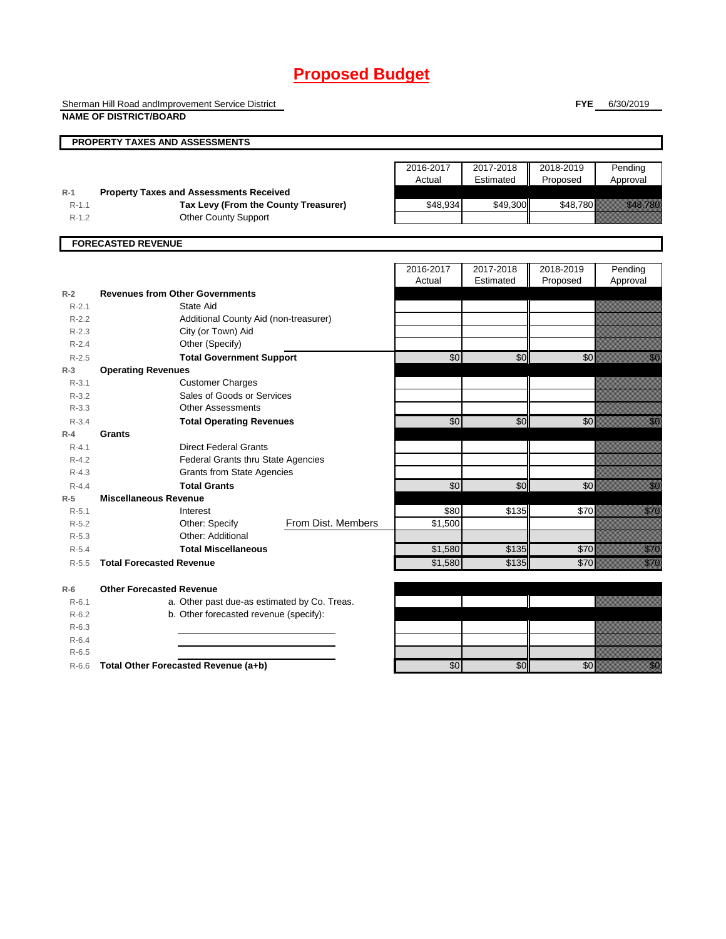# **Proposed Budget**

Sherman Hill Road andImprovement Service District **NAME OF DISTRICT/BOARD**

**FYE** 6/30/2019

|                        | <b>PROPERTY TAXES AND ASSESSMENTS</b>                               |                     |                        |                       |                                                                                                                                                                                                                                  |
|------------------------|---------------------------------------------------------------------|---------------------|------------------------|-----------------------|----------------------------------------------------------------------------------------------------------------------------------------------------------------------------------------------------------------------------------|
|                        |                                                                     | 2016-2017<br>Actual | 2017-2018<br>Estimated | 2018-2019<br>Proposed | Pending<br>Approval                                                                                                                                                                                                              |
| $R-1$                  | <b>Property Taxes and Assessments Received</b>                      |                     |                        |                       |                                                                                                                                                                                                                                  |
| $R-1.1$<br>$R-1.2$     | Tax Levy (From the County Treasurer)<br><b>Other County Support</b> | \$48,934            | \$49,300               | \$48,780              | <b>HAMBER 1989</b>                                                                                                                                                                                                               |
|                        |                                                                     |                     |                        |                       |                                                                                                                                                                                                                                  |
|                        | <b>FORECASTED REVENUE</b>                                           |                     |                        |                       |                                                                                                                                                                                                                                  |
|                        |                                                                     |                     |                        |                       |                                                                                                                                                                                                                                  |
|                        |                                                                     | 2016-2017<br>Actual | 2017-2018<br>Estimated | 2018-2019             | Pending                                                                                                                                                                                                                          |
| $R-2$                  | <b>Revenues from Other Governments</b>                              |                     |                        | Proposed              | Approval                                                                                                                                                                                                                         |
| $R-2.1$                | State Aid                                                           |                     |                        |                       |                                                                                                                                                                                                                                  |
| $R-2.2$                | Additional County Aid (non-treasurer)                               |                     |                        |                       |                                                                                                                                                                                                                                  |
| $R - 2.3$              | City (or Town) Aid                                                  |                     |                        |                       |                                                                                                                                                                                                                                  |
| $R - 2.4$              | Other (Specify)                                                     |                     |                        |                       |                                                                                                                                                                                                                                  |
| $R - 2.5$              | <b>Total Government Support</b>                                     | \$0                 | \$0                    | $\frac{6}{3}$         | en de la familie de la familie de la familie de la familie de la familie de la familie de la familie de la fam<br>Constitution de la familie de la familie de la familie de la familie de la familie de la familie de la familie |
| $R-3$                  | <b>Operating Revenues</b>                                           |                     |                        |                       |                                                                                                                                                                                                                                  |
| $R - 3.1$              | <b>Customer Charges</b>                                             |                     |                        |                       |                                                                                                                                                                                                                                  |
| $R - 3.2$              | Sales of Goods or Services                                          |                     |                        |                       |                                                                                                                                                                                                                                  |
| $R - 3.3$              | <b>Other Assessments</b>                                            |                     |                        |                       |                                                                                                                                                                                                                                  |
| $R - 3.4$              | <b>Total Operating Revenues</b>                                     | \$0                 | \$0                    | \$0                   | en de la familie de la familie de la familie de la familie de la familie de la familie de la familie de la fam<br>De la familie de la familie de la familie de la familie de la familie de la familie de la familie de la famili |
| $R-4$                  | Grants                                                              |                     |                        |                       |                                                                                                                                                                                                                                  |
| $R - 4.1$              | <b>Direct Federal Grants</b>                                        |                     |                        |                       |                                                                                                                                                                                                                                  |
| $R - 4.2$              | <b>Federal Grants thru State Agencies</b>                           |                     |                        |                       |                                                                                                                                                                                                                                  |
| $R - 4.3$              | <b>Grants from State Agencies</b>                                   |                     |                        |                       |                                                                                                                                                                                                                                  |
| $R - 4.4$              | <b>Total Grants</b>                                                 | \$0                 | \$0                    | \$0                   | en de la familie de la familie de la familie de la familie de la familie de la familie de la familie de la fam<br>Constitution de la familie de la familie de la familie de la familie de la familie de la familie de la familie |
| $R-5$                  | <b>Miscellaneous Revenue</b>                                        |                     |                        |                       |                                                                                                                                                                                                                                  |
| $R - 5.1$              | Interest                                                            | \$80                | \$135                  | <b>\$70</b>           | <u>est</u> ernat                                                                                                                                                                                                                 |
| $R - 5.2$              | From Dist. Members<br>Other: Specify                                | \$1,500             |                        |                       |                                                                                                                                                                                                                                  |
| $R - 5.3$              | Other: Additional<br><b>Total Miscellaneous</b>                     |                     | \$135                  | \$70                  |                                                                                                                                                                                                                                  |
| $R - 5.4$<br>$R - 5.5$ | <b>Total Forecasted Revenue</b>                                     | \$1,580<br>\$1,580  | \$135                  | \$70                  | <u>Mille Sta</u><br><u>till fle</u>                                                                                                                                                                                              |
|                        |                                                                     |                     |                        |                       |                                                                                                                                                                                                                                  |
| $R-6$                  | <b>Other Forecasted Revenue</b>                                     |                     |                        |                       |                                                                                                                                                                                                                                  |
| $R - 6.1$              | a. Other past due-as estimated by Co. Treas.                        |                     |                        |                       |                                                                                                                                                                                                                                  |
| $R-6.2$                | b. Other forecasted revenue (specify):                              |                     |                        |                       |                                                                                                                                                                                                                                  |
| $R-6.3$                |                                                                     |                     |                        |                       |                                                                                                                                                                                                                                  |
| $R-6.4$                |                                                                     |                     |                        |                       |                                                                                                                                                                                                                                  |
| $R-6.5$                |                                                                     |                     |                        |                       |                                                                                                                                                                                                                                  |
| $R-6.6$                | Total Other Forecasted Revenue (a+b)                                | \$0                 | $\overline{50}$        | $\overline{60}$       | en de la familie de la familie de la familie de la familie de la familie de la familie de la familie de la fam<br>De la familie de la familie de la familie de la familie de la familie de la familie de la familie de la famili |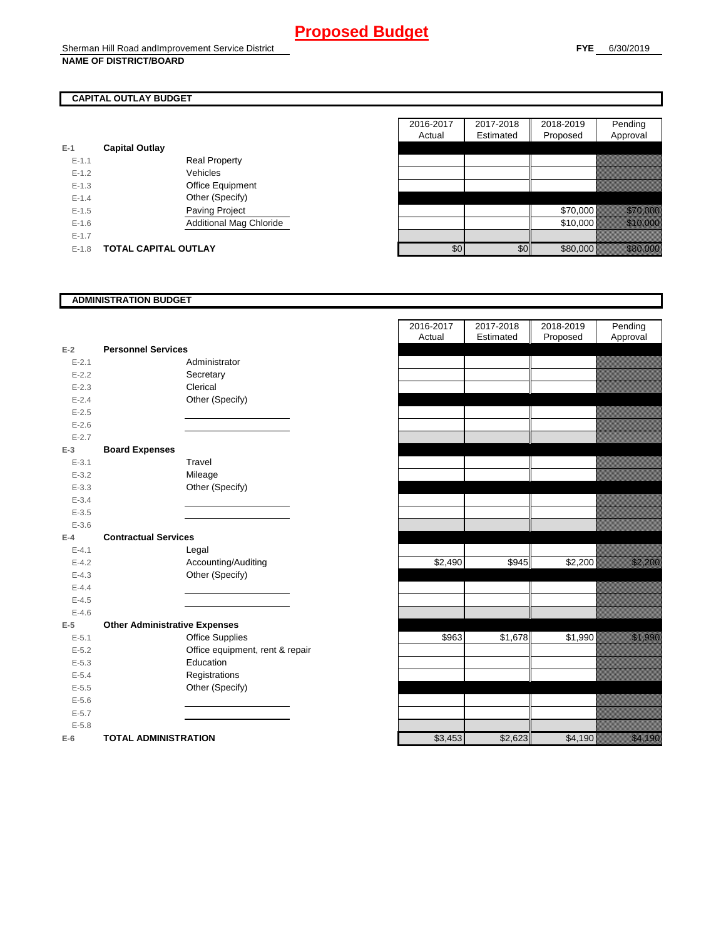## **CAPITAL OUTLAY BUDGET**

| $E-1$     | <b>Capital Outlay</b> |                                |
|-----------|-----------------------|--------------------------------|
| $E - 1.1$ |                       | <b>Real Property</b>           |
| $F-12$    |                       | Vehicles                       |
| $F-1.3$   |                       | <b>Office Equipment</b>        |
| $F-14$    |                       | Other (Specify)                |
| $F-1.5$   |                       | <b>Paving Project</b>          |
| $F-16$    |                       | <b>Additional Mag Chloride</b> |
| $F-17$    |                       |                                |
| $F-1.8$   | TOTAL CAPITAL OUTLAY  |                                |

|           |                             |                         | 2016-2017 | 2017-2018 | 2018-2019 | Pending                                                                                                                                                                                                                          |
|-----------|-----------------------------|-------------------------|-----------|-----------|-----------|----------------------------------------------------------------------------------------------------------------------------------------------------------------------------------------------------------------------------------|
|           |                             |                         | Actual    | Estimated | Proposed  | Approval                                                                                                                                                                                                                         |
|           | <b>Capital Outlay</b>       |                         |           |           |           |                                                                                                                                                                                                                                  |
| $E - 1.1$ |                             | <b>Real Property</b>    |           |           |           |                                                                                                                                                                                                                                  |
| $E - 1.2$ |                             | Vehicles                |           |           |           |                                                                                                                                                                                                                                  |
| $E-1.3$   |                             | Office Equipment        |           |           |           |                                                                                                                                                                                                                                  |
| $E - 1.4$ |                             | Other (Specify)         |           |           |           |                                                                                                                                                                                                                                  |
| $E-1.5$   |                             | Paving Project          |           |           | \$70,000  | <u> 1999 - 1999 - 1999 - 1999 - 1999 - 1999 - 1999 - 1999 - 1999 - 1999 - 1999 - 1999 - 1999 - 1999 - 1999 - 199</u>                                                                                                             |
| $E-1.6$   |                             | Additional Mag Chloride |           |           | \$10,000  | a katika katika katika katika katika katika katika katika katika katika katika katika katika katika katika kat<br>Katika katika katika katika katika katika katika katika katika katika katika katika katika katika katika katik |
| $E - 1.7$ |                             |                         |           |           |           |                                                                                                                                                                                                                                  |
| $E-1.8$   | <b>TOTAL CAPITAL OUTLAY</b> |                         | \$0       | \$0       | \$80,000  | a katika katika katika katika katika katika katika katika katika katika katika katika katika katika katika kat<br>Katika katika katika katika katika katika katika katika katika katika katika katika katika katika katika katik |

### **ADMINISTRATION BUDGET**

| $E-2$     | <b>Personnel Services</b>            |  |
|-----------|--------------------------------------|--|
| $E - 2.1$ | Administrator                        |  |
| $E - 2.2$ | Secretary                            |  |
| $E - 2.3$ | Clerical                             |  |
| $E-2.4$   | Other (Specify)                      |  |
| $E - 2.5$ |                                      |  |
| $E - 2.6$ |                                      |  |
| $E - 2.7$ |                                      |  |
| $E-3$     | <b>Board Expenses</b>                |  |
| $E - 3.1$ | Travel                               |  |
| $E - 3.2$ | Mileage                              |  |
| $E - 3.3$ | Other (Specify)                      |  |
| $E - 3.4$ |                                      |  |
| $E - 3.5$ |                                      |  |
| $E - 3.6$ |                                      |  |
| $E-4$     | <b>Contractual Services</b>          |  |
| $E - 4.1$ | Legal                                |  |
| $E - 4.2$ | Accounting/Auditing                  |  |
| $E - 4.3$ | Other (Specify)                      |  |
| $E - 4.4$ |                                      |  |
| $E - 4.5$ |                                      |  |
| $E - 4.6$ |                                      |  |
| $E-5$     | <b>Other Administrative Expenses</b> |  |
| $E - 5.1$ | <b>Office Supplies</b>               |  |
| $E - 5.2$ | Office equipment, rent & repair      |  |
| $E - 5.3$ | Education                            |  |
| $E - 5.4$ | Registrations                        |  |
| $E - 5.5$ | Other (Specify)                      |  |
| $E - 5.6$ |                                      |  |
| $E - 5.7$ |                                      |  |
| $E - 5.8$ |                                      |  |
| $E-6$     | <b>TOTAL ADMINISTRATION</b>          |  |

|                          |                                      | 2016-2017<br>Actual | 2017-2018<br>Estimated | 2018-2019<br>Proposed | Pending<br>Approval                                                                                                 |
|--------------------------|--------------------------------------|---------------------|------------------------|-----------------------|---------------------------------------------------------------------------------------------------------------------|
| $\overline{\mathbf{r}}$  | <b>Personnel Services</b>            |                     |                        |                       |                                                                                                                     |
| $E - 2.1$                | Administrator                        |                     |                        |                       |                                                                                                                     |
| $E - 2.2$                | Secretary                            |                     |                        |                       |                                                                                                                     |
| $E - 2.3$                | Clerical                             |                     |                        |                       |                                                                                                                     |
| $E - 2.4$                | Other (Specify)                      |                     |                        |                       |                                                                                                                     |
| $E - 2.5$                |                                      |                     |                        |                       |                                                                                                                     |
| $E - 2.6$                |                                      |                     |                        |                       |                                                                                                                     |
| $E - 2.7$                |                                      |                     |                        |                       |                                                                                                                     |
| $\overline{\phantom{a}}$ | <b>Board Expenses</b>                |                     |                        |                       |                                                                                                                     |
| $E - 3.1$                | Travel                               |                     |                        |                       |                                                                                                                     |
| $E - 3.2$                | Mileage                              |                     |                        |                       |                                                                                                                     |
| $E - 3.3$                | Other (Specify)                      |                     |                        |                       |                                                                                                                     |
| $E - 3.4$                |                                      |                     |                        |                       |                                                                                                                     |
| $E - 3.5$                |                                      |                     |                        |                       |                                                                                                                     |
| $E - 3.6$<br>Ļ.          | <b>Contractual Services</b>          |                     |                        |                       |                                                                                                                     |
| $E - 4.1$                | Legal                                |                     |                        |                       |                                                                                                                     |
| $E - 4.2$                | Accounting/Auditing                  | \$2,490             | \$945                  | \$2,200               | <u>tik komunistist om den stad om den stad om den stad om den stad om den stad om den stad om den stad om den s</u> |
| $E - 4.3$                | Other (Specify)                      |                     |                        |                       |                                                                                                                     |
| $E - 4.4$                |                                      |                     |                        |                       |                                                                                                                     |
| $E - 4.5$                |                                      |                     |                        |                       |                                                                                                                     |
| $E - 4.6$                |                                      |                     |                        |                       |                                                                                                                     |
| $\overline{\phantom{a}}$ | <b>Other Administrative Expenses</b> |                     |                        |                       |                                                                                                                     |
| $E - 5.1$                | <b>Office Supplies</b>               | \$963               | \$1,678                | \$1,990               | <u>tik ka</u>                                                                                                       |
| $E - 5.2$                | Office equipment, rent & repair      |                     |                        |                       |                                                                                                                     |
| $E - 5.3$                | Education                            |                     |                        |                       |                                                                                                                     |
| $E - 5.4$                | Registrations                        |                     |                        |                       |                                                                                                                     |
| $E - 5.5$                | Other (Specify)                      |                     |                        |                       |                                                                                                                     |
| $E - 5.6$                |                                      |                     |                        |                       |                                                                                                                     |
| $E - 5.7$                |                                      |                     |                        |                       |                                                                                                                     |
| $E - 5.8$                |                                      |                     |                        |                       |                                                                                                                     |
| ì                        | <b>TOTAL ADMINISTRATION</b>          | \$3,453             | \$2,623                | \$4,190               | <u>elle province de la province de la provincia del</u>                                                             |
|                          |                                      |                     |                        |                       |                                                                                                                     |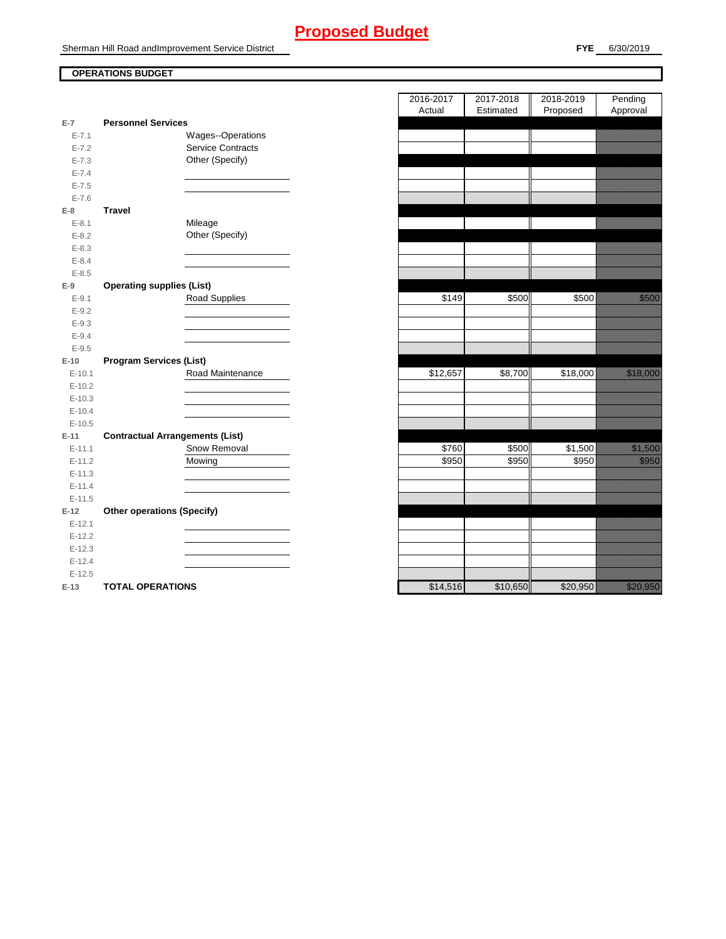# **Proposed Budget**

Sherman Hill Road andImprovement Service District

## **OPERATIONS BUDGET**

| $E-7$      | <b>Personnel Services</b>              |                          |
|------------|----------------------------------------|--------------------------|
| $E - 7.1$  |                                        | <b>Wages--Operations</b> |
| $E - 7.2$  |                                        | <b>Service Contracts</b> |
| $E - 7.3$  |                                        | Other (Specify)          |
| $E - 7.4$  |                                        |                          |
| $E - 7.5$  |                                        |                          |
| $E - 7.6$  |                                        |                          |
| E-8        | <b>Travel</b>                          |                          |
| $E - 8.1$  |                                        | Mileage                  |
| $E - 8.2$  |                                        | Other (Specify)          |
| $E - 8.3$  |                                        |                          |
| $E - 8.4$  |                                        |                          |
| $E - 8.5$  |                                        |                          |
| $E-9$      | <b>Operating supplies (List)</b>       |                          |
| $E-9.1$    |                                        | <b>Road Supplies</b>     |
| $E - 9.2$  |                                        |                          |
| $E - 9.3$  |                                        |                          |
| $E - 9.4$  |                                        |                          |
| $E - 9.5$  |                                        |                          |
| $E-10$     | <b>Program Services (List)</b>         |                          |
| $E-10.1$   |                                        | Road Maintenance         |
| $E-10.2$   |                                        |                          |
|            |                                        |                          |
| $E-10.3$   |                                        |                          |
| $E-10.4$   |                                        |                          |
| $E - 10.5$ |                                        |                          |
| $E-11$     | <b>Contractual Arrangements (List)</b> |                          |
| $E-11.1$   |                                        | Snow Removal             |
| $E-11.2$   |                                        | Mowing                   |
| $E-11.3$   |                                        |                          |
| $E-11.4$   |                                        |                          |
| $E-11.5$   |                                        |                          |
| $E-12$     | <b>Other operations (Specify)</b>      |                          |
| $E-12.1$   |                                        |                          |
| $E-12.2$   |                                        |                          |
| $E-12.3$   |                                        |                          |
| $E-12.4$   |                                        |                          |
| $E-12.5$   |                                        |                          |

|                |                                        | 2016-2017<br>Actual | 2017-2018<br>Estimated | 2018-2019<br>Proposed | Pending<br>Approval |
|----------------|----------------------------------------|---------------------|------------------------|-----------------------|---------------------|
| $\overline{7}$ | <b>Personnel Services</b>              |                     |                        |                       |                     |
| $E - 7.1$      | Wages--Operations                      |                     |                        |                       |                     |
| $E - 7.2$      | <b>Service Contracts</b>               |                     |                        |                       |                     |
| $E - 7.3$      | Other (Specify)                        |                     |                        |                       |                     |
| $E - 7.4$      |                                        |                     |                        |                       |                     |
| $E - 7.5$      |                                        |                     |                        |                       |                     |
| $E - 7.6$      |                                        |                     |                        |                       |                     |
| 8              | <b>Travel</b>                          |                     |                        |                       |                     |
| $E - 8.1$      | Mileage                                |                     |                        |                       |                     |
| $E - 8.2$      | Other (Specify)                        |                     |                        |                       |                     |
| $E - 8.3$      |                                        |                     |                        |                       |                     |
| $E - 8.4$      |                                        |                     |                        |                       |                     |
| $E - 8.5$      |                                        |                     |                        |                       |                     |
| 9              | <b>Operating supplies (List)</b>       |                     |                        |                       |                     |
| $E - 9.1$      | <b>Road Supplies</b>                   | \$149               | \$500                  | \$500                 | <u>ti ka</u>        |
| $E - 9.2$      |                                        |                     |                        |                       |                     |
| $E-9.3$        |                                        |                     |                        |                       |                     |
| $E - 9.4$      |                                        |                     |                        |                       |                     |
| $E - 9.5$      |                                        |                     |                        |                       |                     |
| 10             | <b>Program Services (List)</b>         |                     |                        |                       |                     |
| $E-10.1$       | Road Maintenance                       | \$12,657            | \$8,700                | \$18,000              | <u> Karl Sara</u>   |
| $E-10.2$       |                                        |                     |                        |                       |                     |
| $E-10.3$       |                                        |                     |                        |                       |                     |
| $E - 10.4$     |                                        |                     |                        |                       |                     |
| $E-10.5$       |                                        |                     |                        |                       |                     |
| 11             | <b>Contractual Arrangements (List)</b> |                     |                        |                       |                     |
| $E-11.1$       | Snow Removal                           | \$760               | \$500                  | \$1,500               |                     |
| $E-11.2$       | Mowing                                 | \$950               | \$950                  | \$950                 | <u>ti ka</u>        |
| $E-11.3$       |                                        |                     |                        |                       |                     |
| $E - 11.4$     |                                        |                     |                        |                       |                     |
| $E-11.5$       |                                        |                     |                        |                       |                     |
| 12             | <b>Other operations (Specify)</b>      |                     |                        |                       |                     |
| $E-12.1$       |                                        |                     |                        |                       |                     |
| $E-12.2$       |                                        |                     |                        |                       |                     |
| $E-12.3$       |                                        |                     |                        |                       |                     |
| $E-12.4$       |                                        |                     |                        |                       |                     |
| $E-12.5$       |                                        |                     |                        |                       |                     |
| $-13$          | <b>TOTAL OPERATIONS</b>                | \$14.516            | \$10.650               | \$20.950              | <u>ti ka ka</u>     |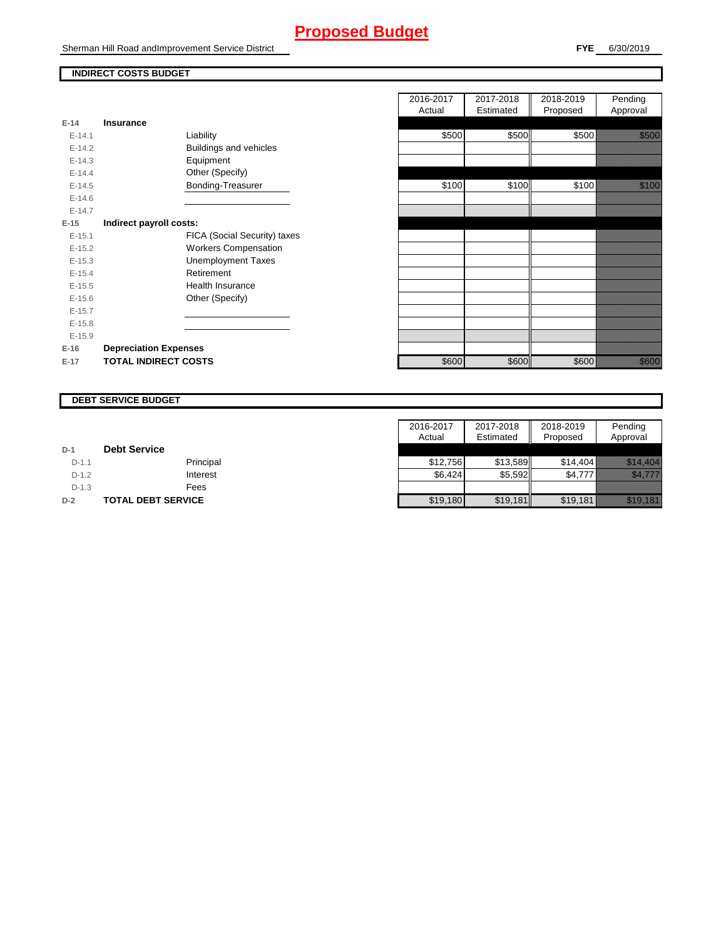# **Proposed Budget**

Sherman Hill Road andImprovement Service District

## **INDIRECT COSTS BUDGET**

| E-14 and the set of the set of the set of the set of the set of the set of the set of the set of the set of th | Insurance                    |
|----------------------------------------------------------------------------------------------------------------|------------------------------|
| $F-141$                                                                                                        | Liability                    |
|                                                                                                                |                              |
| $E-14.2$                                                                                                       | Buildings and vehicles       |
| $F-14.3$                                                                                                       | Equipment                    |
| $F-144$                                                                                                        | Other (Specify)              |
| $E-14.5$                                                                                                       | Bonding-Treasurer            |
| $F-146$                                                                                                        |                              |
| $F-147$                                                                                                        |                              |
| E-15                                                                                                           | Indirect payroll costs:      |
| $E-15.1$                                                                                                       | FICA (Social Security) taxes |
| $E-15.2$                                                                                                       | <b>Workers Compensation</b>  |
| $E-15.3$                                                                                                       | <b>Unemployment Taxes</b>    |
| $F-154$                                                                                                        | Retirement                   |
| $E-15.5$                                                                                                       | Health Insurance             |
| $E - 15.6$                                                                                                     | Other (Specify)              |
| $E-15.7$                                                                                                       |                              |
| $E-15.8$                                                                                                       |                              |
| $E-15.9$                                                                                                       |                              |
| $E-16$                                                                                                         | <b>Depreciation Expenses</b> |
| $E-17$                                                                                                         | <b>TOTAL INDIRECT COSTS</b>  |

|          |                              | 2016-2017 | 2017-2018 | 2018-2019 | Pending      |
|----------|------------------------------|-----------|-----------|-----------|--------------|
|          |                              | Actual    | Estimated | Proposed  | Approval     |
| $E-14$   | <b>Insurance</b>             |           |           |           |              |
| $E-14.1$ | Liability                    | \$500     | \$500     | \$500     |              |
| $E-14.2$ | Buildings and vehicles       |           |           |           |              |
| $E-14.3$ | Equipment                    |           |           |           |              |
| $E-14.4$ | Other (Specify)              |           |           |           |              |
| $E-14.5$ | Bonding-Treasurer            | \$100     | \$100     | \$100     | <u>ti ka</u> |
| $E-14.6$ |                              |           |           |           |              |
| $E-14.7$ |                              |           |           |           |              |
| $E-15$   | Indirect payroll costs:      |           |           |           |              |
| $E-15.1$ | FICA (Social Security) taxes |           |           |           |              |
| $E-15.2$ | <b>Workers Compensation</b>  |           |           |           |              |
| $E-15.3$ | <b>Unemployment Taxes</b>    |           |           |           |              |
| $E-15.4$ | Retirement                   |           |           |           |              |
| $E-15.5$ | Health Insurance             |           |           |           |              |
| $E-15.6$ | Other (Specify)              |           |           |           |              |
| $E-15.7$ |                              |           |           |           |              |
| $E-15.8$ |                              |           |           |           |              |
| $E-15.9$ |                              |           |           |           |              |
| $E-16$   | <b>Depreciation Expenses</b> |           |           |           |              |
| $E-17$   | <b>TOTAL INDIRECT COSTS</b>  | \$600     | \$600     | \$600     | <u>i k</u>   |
|          |                              |           |           |           |              |

#### **DEBT SERVICE BUDGET**

|         |                     | 2016-2017 | 2017-2018 | 2018-2019 | Pending                       |
|---------|---------------------|-----------|-----------|-----------|-------------------------------|
|         |                     | Actual    | Estimated | Proposed  | Approval                      |
| $D-1$   | <b>Debt Service</b> |           |           |           |                               |
| $D-1.1$ | Principal           | \$12.756  | \$13.589  | \$14.404  |                               |
| $D-1.2$ | Interest            | \$6,424   | \$5,592   | \$4,777   | iikko kuuluttiin              |
| $D-1.3$ | Fees                |           |           |           |                               |
| $D-2$   | TOTAL DEBT SERVICE  | \$19,180  | \$19,181  | \$19,181  | <u>Markovin komunistika k</u> |